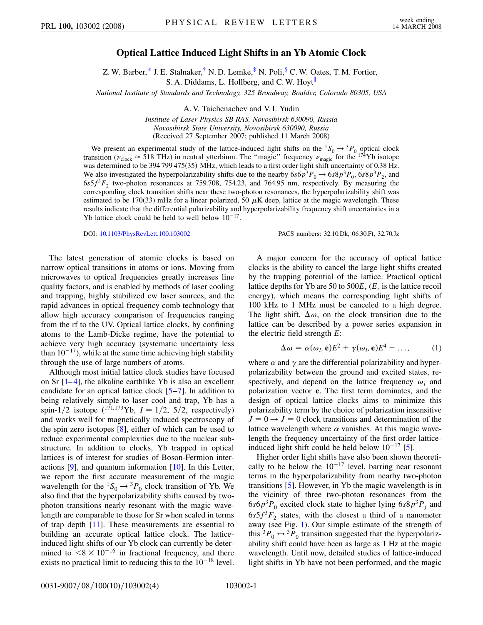## **Optical Lattice Induced Light Shifts in an Yb Atomic Clock**

Z. W. Barber,[\\*](#page-3-0) J. E. Stalnaker,<sup>†</sup> N. D. Lemke, $\frac{4}{3}$  N. Poli, $\frac{8}{3}$  C. W. Oates, T. M. Fortier, S. A. Diddams, L. Hollberg, and C. W. Hoyt<sup>ll</sup>

<span id="page-0-1"></span>*National Institute of Standards and Technology, 325 Broadway, Boulder, Colorado 80305, USA*

A. V. Taichenachev and V. I. Yudin

*Institute of Laser Physics SB RAS, Novosibirsk 630090, Russia Novosibirsk State University, Novosibirsk 630090, Russia* (Received 27 September 2007; published 11 March 2008)

We present an experimental study of the lattice-induced light shifts on the  ${}^1S_0 \rightarrow {}^3P_0$  optical clock transition ( $v_{\text{clock}} \approx 518 \text{ THz}$ ) in neutral ytterbium. The "magic" frequency  $v_{\text{magic}}$  for the <sup>174</sup>Yb isotope was determined to be 394 799 475(35) MHz, which leads to a first order light shift uncertainty of 0.38 Hz. We also investigated the hyperpolarizability shifts due to the nearby  $6s6p^3P_0 \rightarrow 6s8p^3P_0$ ,  $6s8p^3P_2$ , and  $6s5f<sup>3</sup>F<sub>2</sub>$  two-photon resonances at 759.708, 754.23, and 764.95 nm, respectively. By measuring the corresponding clock transition shifts near these two-photon resonances, the hyperpolarizability shift was estimated to be  $170(33)$  mHz for a linear polarized, 50  $\mu$ K deep, lattice at the magic wavelength. These results indicate that the differential polarizability and hyperpolarizability frequency shift uncertainties in a Yb lattice clock could be held to well below  $10^{-17}$ .

DOI: [10.1103/PhysRevLett.100.103002](http://dx.doi.org/10.1103/PhysRevLett.100.103002) PACS numbers: 32.10.Dk, 06.30.Ft, 32.70.Jz

The latest generation of atomic clocks is based on narrow optical transitions in atoms or ions. Moving from microwaves to optical frequencies greatly increases line quality factors, and is enabled by methods of laser cooling and trapping, highly stabilized cw laser sources, and the rapid advances in optical frequency comb technology that allow high accuracy comparison of frequencies ranging from the rf to the UV. Optical lattice clocks, by confining atoms to the Lamb-Dicke regime, have the potential to achieve very high accuracy (systematic uncertainty less than  $10^{-17}$ ), while at the same time achieving high stability through the use of large numbers of atoms.

Although most initial lattice clock studies have focused on Sr  $[1-4]$  $[1-4]$  $[1-4]$ , the alkaline earthlike Yb is also an excellent candidate for an optical lattice clock [[5](#page-3-5)–[7](#page-3-6)]. In addition to being relatively simple to laser cool and trap, Yb has a spin-1/2 isotope (<sup>171,173</sup>Yb,  $I = 1/2$ , 5/2, respectively) and works well for magnetically induced spectroscopy of the spin zero isotopes [[8\]](#page-3-7), either of which can be used to reduce experimental complexities due to the nuclear substructure. In addition to clocks, Yb trapped in optical lattices is of interest for studies of Boson-Fermion interactions [[9\]](#page-3-8), and quantum information [[10](#page-3-9)]. In this Letter, we report the first accurate measurement of the magic wavelength for the  ${}^{1}S_{0} \rightarrow {}^{3}P_{0}$  clock transition of Yb. We also find that the hyperpolarizability shifts caused by twophoton transitions nearly resonant with the magic wavelength are comparable to those for Sr when scaled in terms of trap depth [[11](#page-3-10)]. These measurements are essential to building an accurate optical lattice clock. The latticeinduced light shifts of our Yb clock can currently be determined to  $\leq 8 \times 10^{-16}$  in fractional frequency, and there exists no practical limit to reducing this to the  $10^{-18}$  level.

A major concern for the accuracy of optical lattice clocks is the ability to cancel the large light shifts created by the trapping potential of the lattice. Practical optical lattice depths for Yb are 50 to  $500E_r$  ( $E_r$  is the lattice recoil energy), which means the corresponding light shifts of 100 kHz to 1 MHz must be canceled to a high degree. The light shift,  $\Delta \omega$ , on the clock transition due to the lattice can be described by a power series expansion in the electric field strength *E*:

$$
\Delta \omega = \alpha(\omega_l, \mathbf{e})E^2 + \gamma(\omega_l, \mathbf{e})E^4 + \dots,
$$
 (1)

<span id="page-0-0"></span>where  $\alpha$  and  $\gamma$  are the differential polarizability and hyperpolarizability between the ground and excited states, respectively, and depend on the lattice frequency  $\omega_l$  and polarization vector **e**. The first term dominates, and the design of optical lattice clocks aims to minimize this polarizability term by the choice of polarization insensitive  $J = 0 \rightarrow J = 0$  clock transitions and determination of the lattice wavelength where  $\alpha$  vanishes. At this magic wavelength the frequency uncertainty of the first order latticeinduced light shift could be held below  $10^{-17}$  [[5](#page-3-5)].

Higher order light shifts have also been shown theoretically to be below the  $10^{-17}$  level, barring near resonant terms in the hyperpolarizability from nearby two-photon transitions [[5\]](#page-3-5). However, in Yb the magic wavelength is in the vicinity of three two-photon resonances from the  $6s6p<sup>3</sup>P<sub>0</sub>$  excited clock state to higher lying  $6s8p<sup>3</sup>P<sub>j</sub>$  and  $6s5f^{3}F_{2}$  states, with the closest a third of a nanometer away (see Fig. [1](#page-1-0)). Our simple estimate of the strength of this  ${}^{3}P_{0} \leftrightarrow {}^{3}P_{0}$  transition suggested that the hyperpolarizability shift could have been as large as 1 Hz at the magic wavelength. Until now, detailed studies of lattice-induced light shifts in Yb have not been performed, and the magic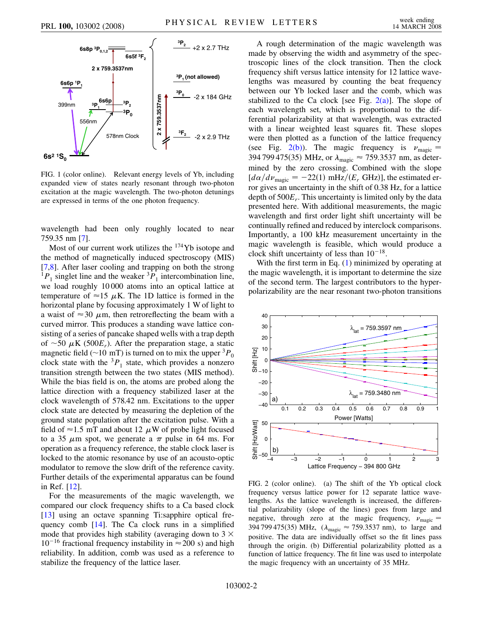<span id="page-1-0"></span>

FIG. 1 (color online). Relevant energy levels of Yb, including expanded view of states nearly resonant through two-photon excitation at the magic wavelength. The two-photon detunings are expressed in terms of the one photon frequency.

wavelength had been only roughly located to near 759.35 nm [\[7](#page-3-6)].

Most of our current work utilizes the <sup>174</sup>Yb isotope and the method of magnetically induced spectroscopy (MIS) [\[7,](#page-3-6)[8](#page-3-7)]. After laser cooling and trapping on both the strong  ${}^{1}P_{1}$  singlet line and the weaker  ${}^{3}P_{1}$  intercombination line, we load roughly 10 000 atoms into an optical lattice at temperature of  $\approx$ 15  $\mu$ K. The 1D lattice is formed in the horizontal plane by focusing approximately 1 W of light to a waist of  $\approx 30 \mu$ m, then retroreflecting the beam with a curved mirror. This produces a standing wave lattice consisting of a series of pancake shaped wells with a trap depth of  $\sim$ 50  $\mu$ K (500 $E_r$ ). After the preparation stage, a static magnetic field ( $\sim$ 10 mT) is turned on to mix the upper <sup>3</sup> $P_0$ clock state with the  ${}^{3}P_1$  state, which provides a nonzero transition strength between the two states (MIS method). While the bias field is on, the atoms are probed along the lattice direction with a frequency stabilized laser at the clock wavelength of 578.42 nm. Excitations to the upper clock state are detected by measuring the depletion of the ground state population after the excitation pulse. With a field of  $\approx$  1.5 mT and about 12  $\mu$ W of probe light focused to a 35  $\mu$ m spot, we generate a  $\pi$  pulse in 64 ms. For operation as a frequency reference, the stable clock laser is locked to the atomic resonance by use of an acousto-optic modulator to remove the slow drift of the reference cavity. Further details of the experimental apparatus can be found in Ref. [\[12\]](#page-3-11).

For the measurements of the magic wavelength, we compared our clock frequency shifts to a Ca based clock [\[13\]](#page-3-12) using an octave spanning Ti:sapphire optical frequency comb [[14](#page-3-13)]. The Ca clock runs in a simplified mode that provides high stability (averaging down to  $3 \times$  $10^{-16}$  fractional frequency instability in  $\approx$  200 s) and high reliability. In addition, comb was used as a reference to stabilize the frequency of the lattice laser.

A rough determination of the magic wavelength was made by observing the width and asymmetry of the spectroscopic lines of the clock transition. Then the clock frequency shift versus lattice intensity for 12 lattice wavelengths was measured by counting the beat frequency between our Yb locked laser and the comb, which was stabilized to the Ca clock [see Fig.  $2(a)$ ]. The slope of each wavelength set, which is proportional to the differential polarizability at that wavelength, was extracted with a linear weighted least squares fit. These slopes were then plotted as a function of the lattice frequency (see Fig. [2\(b\)](#page-1-1)). The magic frequency is  $v_{\text{magic}} =$ 394 799 475(35) MHz, or  $\lambda_{\text{magic}} \approx 759.3537 \text{ nm}$ , as determined by the zero crossing. Combined with the slope  $\left[d\alpha / d\nu_{\text{magic}} = -22(1) \text{ mHz}/(E_r \text{ GHz})\right]$ , the estimated error gives an uncertainty in the shift of 0.38 Hz, for a lattice depth of 500*Er*. This uncertainty is limited only by the data presented here. With additional measurements, the magic wavelength and first order light shift uncertainty will be continually refined and reduced by interclock comparisons. Importantly, a 100 kHz measurement uncertainty in the magic wavelength is feasible, which would produce a clock shift uncertainty of less than  $10^{-18}$ .

With the first term in Eq. [\(1\)](#page-0-0) minimized by operating at the magic wavelength, it is important to determine the size of the second term. The largest contributors to the hyperpolarizability are the near resonant two-photon transitions



<span id="page-1-1"></span>FIG. 2 (color online). (a) The shift of the Yb optical clock frequency versus lattice power for 12 separate lattice wavelengths. As the lattice wavelength is increased, the differential polarizability (slope of the lines) goes from large and negative, through zero at the magic frequency,  $v_{\text{magic}} =$ 394 799 475(35) MHz,  $(\lambda_{\text{magic}} \approx 759.3537 \text{ nm})$ , to large and positive. The data are individually offset so the fit lines pass through the origin. (b) Differential polarizability plotted as a function of lattice frequency. The fit line was used to interpolate the magic frequency with an uncertainty of 35 MHz.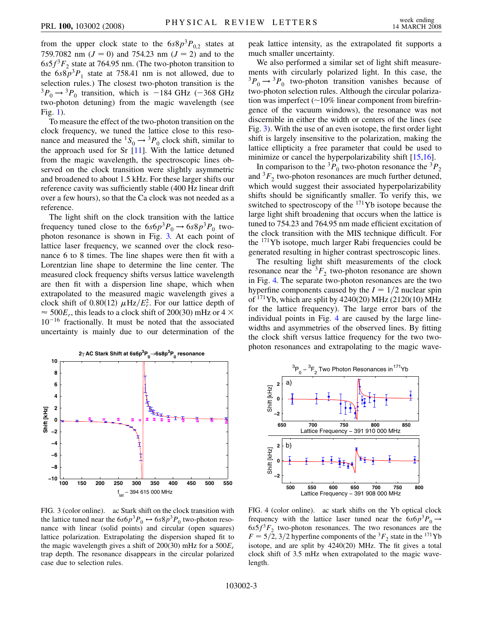from the upper clock state to the  $6s8p^3P_{02}$  states at 759.7082 nm  $(J = 0)$  and 754.23 nm  $(J = 2)$  and to the  $6s5f<sup>3</sup>F<sub>2</sub>$  state at 764.95 nm. (The two-photon transition to the  $6s8p^3P_1$  state at 758.41 nm is not allowed, due to selection rules.) The closest two-photon transition is the  ${}^{3}P_{0} \rightarrow {}^{3}P_{0}$  transition, which is -184 GHz (-368 GHz two-photon detuning) from the magic wavelength (see Fig. [1\)](#page-1-0).

To measure the effect of the two-photon transition on the clock frequency, we tuned the lattice close to this resonance and measured the <sup>1</sup>S<sub>0</sub>  $\rightarrow$  <sup>3</sup>P<sub>0</sub> clock shift, similar to the approach used for Sr [[11](#page-3-10)]. With the lattice detuned from the magic wavelength, the spectroscopic lines observed on the clock transition were slightly asymmetric and broadened to about 1.5 kHz. For these larger shifts our reference cavity was sufficiently stable (400 Hz linear drift over a few hours), so that the Ca clock was not needed as a reference.

The light shift on the clock transition with the lattice frequency tuned close to the  $6s6p^3P_0 \rightarrow 6s8p^3P_0$  twophoton resonance is shown in Fig. [3.](#page-2-0) At each point of lattice laser frequency, we scanned over the clock resonance 6 to 8 times. The line shapes were then fit with a Lorentzian line shape to determine the line center. The measured clock frequency shifts versus lattice wavelength are then fit with a dispersion line shape, which when extrapolated to the measured magic wavelength gives a clock shift of 0.80(12)  $\mu$ Hz/ $E_r^2$ . For our lattice depth of  $\approx$  500 $E_r$ , this leads to a clock shift of 200(30) mHz or 4  $\times$  $10^{-16}$  fractionally. It must be noted that the associated uncertainty is mainly due to our determination of the

<span id="page-2-0"></span>

FIG. 3 (color online). ac Stark shift on the clock transition with the lattice tuned near the  $6s6p^3P_0 \leftrightarrow 6s8p^3P_0$  two-photon resonance with linear (solid points) and circular (open squares) lattice polarization. Extrapolating the dispersion shaped fit to the magic wavelength gives a shift of 200(30) mHz for a 500*Er* trap depth. The resonance disappears in the circular polarized case due to selection rules.

peak lattice intensity, as the extrapolated fit supports a much smaller uncertainty.

We also performed a similar set of light shift measurements with circularly polarized light. In this case, the  ${}^{3}P_{0} \rightarrow {}^{3}P_{0}$  two-photon transition vanishes because of two-photon selection rules. Although the circular polarization was imperfect  $(10\%$  linear component from birefringence of the vacuum windows), the resonance was not discernible in either the width or centers of the lines (see Fig. [3](#page-2-0)). With the use of an even isotope, the first order light shift is largely insensitive to the polarization, making the lattice ellipticity a free parameter that could be used to minimize or cancel the hyperpolarizability shift [\[15](#page-3-14)[,16\]](#page-3-15).

In comparison to the <sup>3</sup> $P_0$  two-photon resonance the <sup>3</sup> $P_2$ and  ${}^{3}F_{2}$  two-photon resonances are much further detuned, which would suggest their associated hyperpolarizability shifts should be significantly smaller. To verify this, we switched to spectroscopy of the 171Yb isotope because the large light shift broadening that occurs when the lattice is tuned to 754.23 and 764.95 nm made efficient excitation of the clock transition with the MIS technique difficult. For the 171Yb isotope, much larger Rabi frequencies could be generated resulting in higher contrast spectroscopic lines.

The resulting light shift measurements of the clock resonance near the  ${}^{3}F_2$  two-photon resonance are shown in Fig. [4.](#page-2-1) The separate two-photon resonances are the two hyperfine components caused by the  $I = 1/2$  nuclear spin of  $171$ Yb, which are split by 4240(20) MHz (2120(10) MHz for the lattice frequency). The large error bars of the individual points in Fig. [4](#page-2-1) are caused by the large linewidths and asymmetries of the observed lines. By fitting the clock shift versus lattice frequency for the two twophoton resonances and extrapolating to the magic wave-

<span id="page-2-1"></span>

FIG. 4 (color online). ac stark shifts on the Yb optical clock frequency with the lattice laser tuned near the  $6s6p^3P_0 \rightarrow$  $6s5f<sup>3</sup>F<sub>2</sub>$  two-photon resonances. The two resonances are the  $F = 5/2$ , 3/2 hyperfine components of the <sup>3</sup> $F<sub>2</sub>$  state in the <sup>171</sup>Yb isotope, and are split by 4240(20) MHz. The fit gives a total clock shift of 3.5 mHz when extrapolated to the magic wavelength.